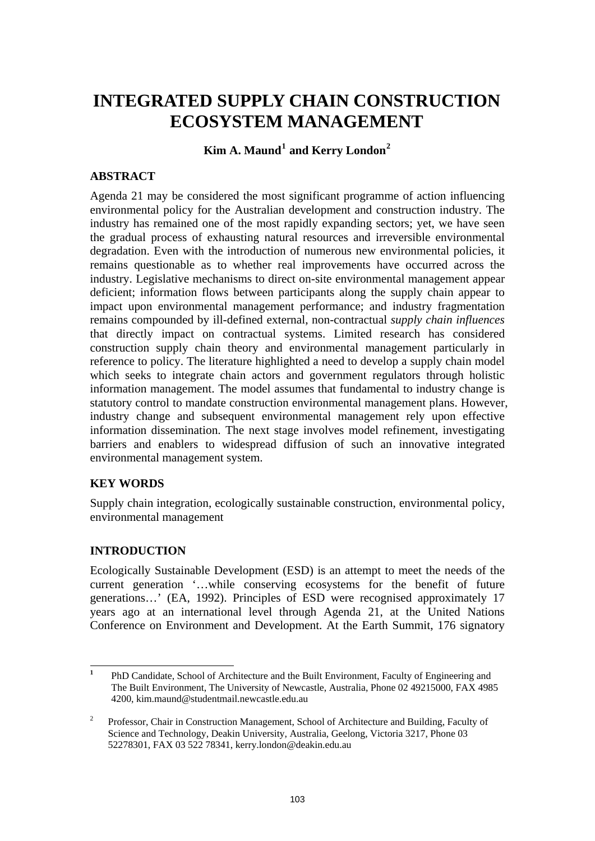# **INTEGRATED SUPPLY CHAIN CONSTRUCTION ECOSYSTEM MANAGEMENT**

 $\text{Kim A. Maund}^1$  $\text{Kim A. Maund}^1$  and Kerry London<sup>[2](#page-0-1)</sup>

## **ABSTRACT**

Agenda 21 may be considered the most significant programme of action influencing environmental policy for the Australian development and construction industry. The industry has remained one of the most rapidly expanding sectors; yet, we have seen the gradual process of exhausting natural resources and irreversible environmental degradation. Even with the introduction of numerous new environmental policies, it remains questionable as to whether real improvements have occurred across the industry. Legislative mechanisms to direct on-site environmental management appear deficient; information flows between participants along the supply chain appear to impact upon environmental management performance; and industry fragmentation remains compounded by ill-defined external, non-contractual *supply chain influences*  that directly impact on contractual systems. Limited research has considered construction supply chain theory and environmental management particularly in reference to policy. The literature highlighted a need to develop a supply chain model which seeks to integrate chain actors and government regulators through holistic information management. The model assumes that fundamental to industry change is statutory control to mandate construction environmental management plans. However, industry change and subsequent environmental management rely upon effective information dissemination. The next stage involves model refinement, investigating barriers and enablers to widespread diffusion of such an innovative integrated environmental management system.

## **KEY WORDS**

Supply chain integration, ecologically sustainable construction, environmental policy, environmental management

## **INTRODUCTION**

Ecologically Sustainable Development (ESD) is an attempt to meet the needs of the current generation '…while conserving ecosystems for the benefit of future generations…' (EA, 1992). Principles of ESD were recognised approximately 17 years ago at an international level through Agenda 21, at the United Nations Conference on Environment and Development. At the Earth Summit, 176 signatory

<span id="page-0-0"></span> **1** PhD Candidate, School of Architecture and the Built Environment, Faculty of Engineering and The Built Environment, The University of Newcastle, Australia, Phone 02 49215000, FAX 4985 4200, kim.maund@studentmail.newcastle.edu.au

<span id="page-0-1"></span><sup>2</sup> Professor, Chair in Construction Management, School of Architecture and Building, Faculty of Science and Technology, Deakin University, Australia, Geelong, Victoria 3217, Phone 03 52278301, FAX 03 522 78341, kerry.london@deakin.edu.au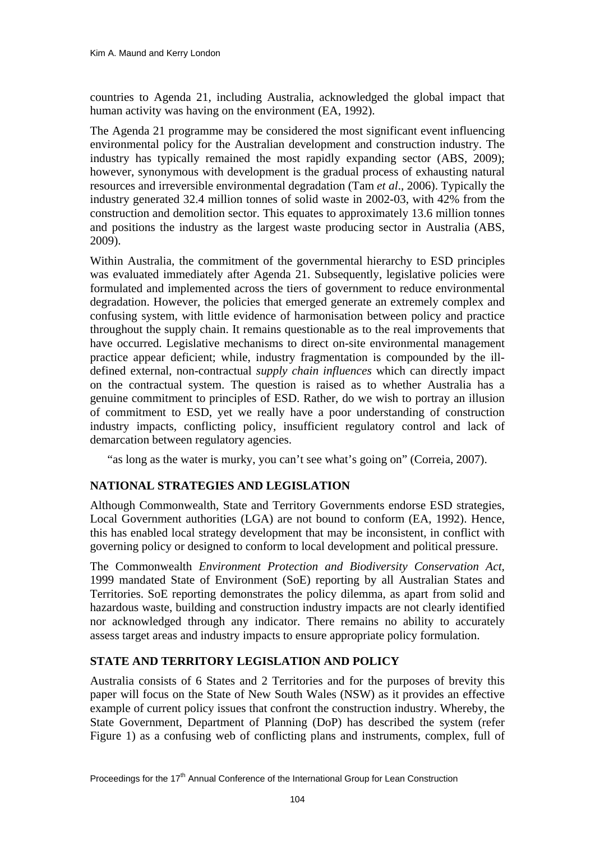countries to Agenda 21, including Australia, acknowledged the global impact that human activity was having on the environment (EA, 1992).

The Agenda 21 programme may be considered the most significant event influencing environmental policy for the Australian development and construction industry. The industry has typically remained the most rapidly expanding sector (ABS, 2009); however, synonymous with development is the gradual process of exhausting natural resources and irreversible environmental degradation (Tam *et al*., 2006). Typically the industry generated 32.4 million tonnes of solid waste in 2002-03, with 42% from the construction and demolition sector. This equates to approximately 13.6 million tonnes and positions the industry as the largest waste producing sector in Australia (ABS, 2009).

Within Australia, the commitment of the governmental hierarchy to ESD principles was evaluated immediately after Agenda 21. Subsequently, legislative policies were formulated and implemented across the tiers of government to reduce environmental degradation. However, the policies that emerged generate an extremely complex and confusing system, with little evidence of harmonisation between policy and practice throughout the supply chain. It remains questionable as to the real improvements that have occurred. Legislative mechanisms to direct on-site environmental management practice appear deficient; while, industry fragmentation is compounded by the illdefined external, non-contractual *supply chain influences* which can directly impact on the contractual system. The question is raised as to whether Australia has a genuine commitment to principles of ESD. Rather, do we wish to portray an illusion of commitment to ESD, yet we really have a poor understanding of construction industry impacts, conflicting policy, insufficient regulatory control and lack of demarcation between regulatory agencies.

"as long as the water is murky, you can't see what's going on" (Correia, 2007).

## **NATIONAL STRATEGIES AND LEGISLATION**

Although Commonwealth, State and Territory Governments endorse ESD strategies, Local Government authorities (LGA) are not bound to conform (EA, 1992). Hence, this has enabled local strategy development that may be inconsistent, in conflict with governing policy or designed to conform to local development and political pressure.

The Commonwealth *Environment Protection and Biodiversity Conservation Act,*  1999 mandated State of Environment (SoE) reporting by all Australian States and Territories. SoE reporting demonstrates the policy dilemma, as apart from solid and hazardous waste, building and construction industry impacts are not clearly identified nor acknowledged through any indicator. There remains no ability to accurately assess target areas and industry impacts to ensure appropriate policy formulation.

## **STATE AND TERRITORY LEGISLATION AND POLICY**

Australia consists of 6 States and 2 Territories and for the purposes of brevity this paper will focus on the State of New South Wales (NSW) as it provides an effective example of current policy issues that confront the construction industry. Whereby, the State Government, Department of Planning (DoP) has described the system (refer Figure 1) as a confusing web of conflicting plans and instruments, complex, full of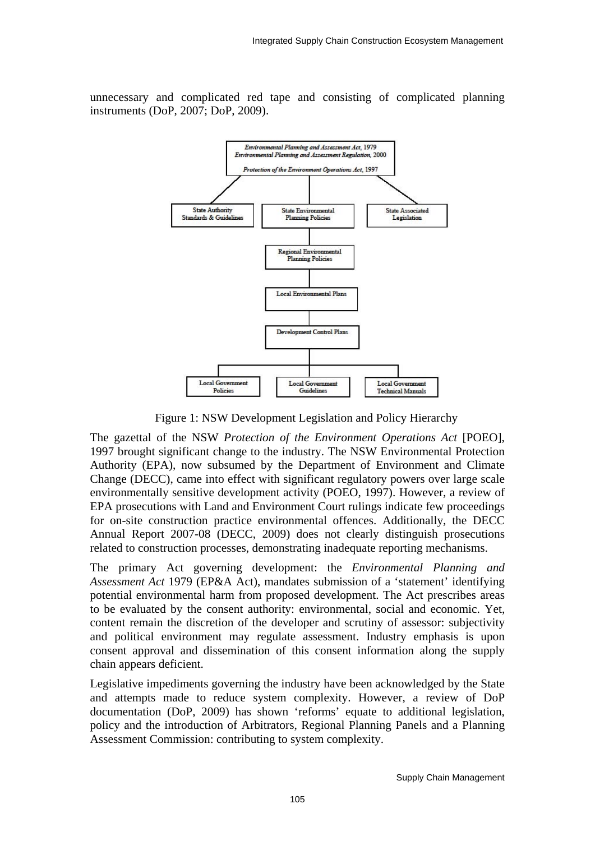unnecessary and complicated red tape and consisting of complicated planning instruments (DoP, 2007; DoP, 2009).



Figure 1: NSW Development Legislation and Policy Hierarchy

The gazettal of the NSW *Protection of the Environment Operations Act* [POEO], 1997 brought significant change to the industry. The NSW Environmental Protection Authority (EPA), now subsumed by the Department of Environment and Climate Change (DECC), came into effect with significant regulatory powers over large scale environmentally sensitive development activity (POEO, 1997). However, a review of EPA prosecutions with Land and Environment Court rulings indicate few proceedings for on-site construction practice environmental offences. Additionally, the DECC Annual Report 2007-08 (DECC, 2009) does not clearly distinguish prosecutions related to construction processes, demonstrating inadequate reporting mechanisms.

The primary Act governing development: the *Environmental Planning and Assessment Act* 1979 (EP&A Act), mandates submission of a 'statement' identifying potential environmental harm from proposed development. The Act prescribes areas to be evaluated by the consent authority: environmental, social and economic. Yet, content remain the discretion of the developer and scrutiny of assessor: subjectivity and political environment may regulate assessment. Industry emphasis is upon consent approval and dissemination of this consent information along the supply chain appears deficient.

Legislative impediments governing the industry have been acknowledged by the State and attempts made to reduce system complexity. However, a review of DoP documentation (DoP, 2009) has shown 'reforms' equate to additional legislation, policy and the introduction of Arbitrators, Regional Planning Panels and a Planning Assessment Commission: contributing to system complexity.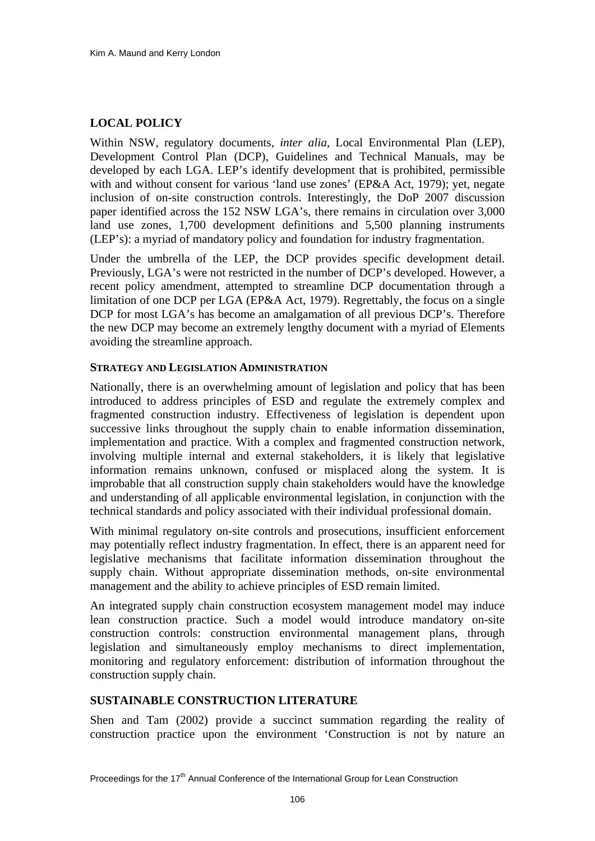# **LOCAL POLICY**

Within NSW, regulatory documents, *inter alia*, Local Environmental Plan (LEP), Development Control Plan (DCP), Guidelines and Technical Manuals, may be developed by each LGA. LEP's identify development that is prohibited, permissible with and without consent for various 'land use zones' (EP&A Act, 1979); yet, negate inclusion of on-site construction controls. Interestingly, the DoP 2007 discussion paper identified across the 152 NSW LGA's, there remains in circulation over 3,000 land use zones, 1,700 development definitions and 5,500 planning instruments (LEP's): a myriad of mandatory policy and foundation for industry fragmentation.

Under the umbrella of the LEP, the DCP provides specific development detail. Previously, LGA's were not restricted in the number of DCP's developed. However, a recent policy amendment, attempted to streamline DCP documentation through a limitation of one DCP per LGA (EP&A Act, 1979). Regrettably, the focus on a single DCP for most LGA's has become an amalgamation of all previous DCP's. Therefore the new DCP may become an extremely lengthy document with a myriad of Elements avoiding the streamline approach.

#### **STRATEGY AND LEGISLATION ADMINISTRATION**

Nationally, there is an overwhelming amount of legislation and policy that has been introduced to address principles of ESD and regulate the extremely complex and fragmented construction industry. Effectiveness of legislation is dependent upon successive links throughout the supply chain to enable information dissemination, implementation and practice. With a complex and fragmented construction network, involving multiple internal and external stakeholders, it is likely that legislative information remains unknown, confused or misplaced along the system. It is improbable that all construction supply chain stakeholders would have the knowledge and understanding of all applicable environmental legislation, in conjunction with the technical standards and policy associated with their individual professional domain.

With minimal regulatory on-site controls and prosecutions, insufficient enforcement may potentially reflect industry fragmentation. In effect, there is an apparent need for legislative mechanisms that facilitate information dissemination throughout the supply chain. Without appropriate dissemination methods, on-site environmental management and the ability to achieve principles of ESD remain limited.

An integrated supply chain construction ecosystem management model may induce lean construction practice. Such a model would introduce mandatory on-site construction controls: construction environmental management plans, through legislation and simultaneously employ mechanisms to direct implementation, monitoring and regulatory enforcement: distribution of information throughout the construction supply chain.

## **SUSTAINABLE CONSTRUCTION LITERATURE**

Shen and Tam (2002) provide a succinct summation regarding the reality of construction practice upon the environment 'Construction is not by nature an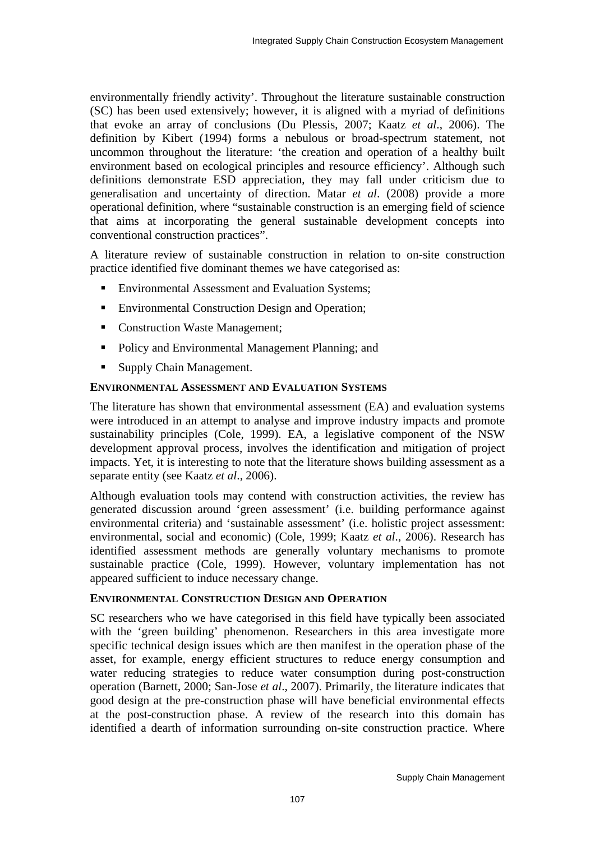environmentally friendly activity'. Throughout the literature sustainable construction (SC) has been used extensively; however, it is aligned with a myriad of definitions that evoke an array of conclusions (Du Plessis, 2007; Kaatz *et al*., 2006). The definition by Kibert (1994) forms a nebulous or broad-spectrum statement, not uncommon throughout the literature: 'the creation and operation of a healthy built environment based on ecological principles and resource efficiency'. Although such definitions demonstrate ESD appreciation, they may fall under criticism due to generalisation and uncertainty of direction. Matar *et al*. (2008) provide a more operational definition, where "sustainable construction is an emerging field of science that aims at incorporating the general sustainable development concepts into conventional construction practices".

A literature review of sustainable construction in relation to on-site construction practice identified five dominant themes we have categorised as:

- Environmental Assessment and Evaluation Systems;
- **Environmental Construction Design and Operation;**
- Construction Waste Management;
- **•** Policy and Environmental Management Planning; and
- Supply Chain Management.

#### **ENVIRONMENTAL ASSESSMENT AND EVALUATION SYSTEMS**

The literature has shown that environmental assessment (EA) and evaluation systems were introduced in an attempt to analyse and improve industry impacts and promote sustainability principles (Cole, 1999). EA, a legislative component of the NSW development approval process, involves the identification and mitigation of project impacts. Yet, it is interesting to note that the literature shows building assessment as a separate entity (see Kaatz *et al*., 2006).

Although evaluation tools may contend with construction activities, the review has generated discussion around 'green assessment' (i.e. building performance against environmental criteria) and 'sustainable assessment' (i.e. holistic project assessment: environmental, social and economic) (Cole, 1999; Kaatz *et al*., 2006). Research has identified assessment methods are generally voluntary mechanisms to promote sustainable practice (Cole, 1999). However, voluntary implementation has not appeared sufficient to induce necessary change.

#### **ENVIRONMENTAL CONSTRUCTION DESIGN AND OPERATION**

SC researchers who we have categorised in this field have typically been associated with the 'green building' phenomenon. Researchers in this area investigate more specific technical design issues which are then manifest in the operation phase of the asset, for example, energy efficient structures to reduce energy consumption and water reducing strategies to reduce water consumption during post-construction operation (Barnett, 2000; San-Jose *et al*., 2007). Primarily, the literature indicates that good design at the pre-construction phase will have beneficial environmental effects at the post-construction phase. A review of the research into this domain has identified a dearth of information surrounding on-site construction practice. Where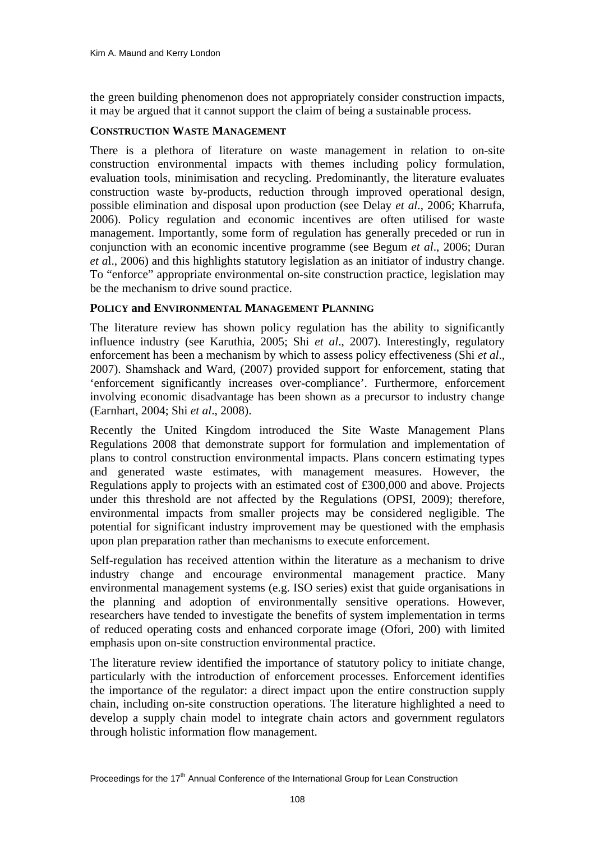the green building phenomenon does not appropriately consider construction impacts, it may be argued that it cannot support the claim of being a sustainable process.

#### **CONSTRUCTION WASTE MANAGEMENT**

There is a plethora of literature on waste management in relation to on-site construction environmental impacts with themes including policy formulation, evaluation tools, minimisation and recycling. Predominantly, the literature evaluates construction waste by-products, reduction through improved operational design, possible elimination and disposal upon production (see Delay *et al*., 2006; Kharrufa, 2006). Policy regulation and economic incentives are often utilised for waste management. Importantly, some form of regulation has generally preceded or run in conjunction with an economic incentive programme (see Begum *et al*., 2006; Duran *et a*l., 2006) and this highlights statutory legislation as an initiator of industry change. To "enforce" appropriate environmental on-site construction practice, legislation may be the mechanism to drive sound practice.

#### **POLICY and ENVIRONMENTAL MANAGEMENT PLANNING**

The literature review has shown policy regulation has the ability to significantly influence industry (see Karuthia, 2005; Shi *et al*., 2007). Interestingly, regulatory enforcement has been a mechanism by which to assess policy effectiveness (Shi *et al*., 2007). Shamshack and Ward, (2007) provided support for enforcement, stating that 'enforcement significantly increases over-compliance'. Furthermore, enforcement involving economic disadvantage has been shown as a precursor to industry change (Earnhart, 2004; Shi *et al*., 2008).

Recently the United Kingdom introduced the Site Waste Management Plans Regulations 2008 that demonstrate support for formulation and implementation of plans to control construction environmental impacts. Plans concern estimating types and generated waste estimates, with management measures. However, the Regulations apply to projects with an estimated cost of £300,000 and above. Projects under this threshold are not affected by the Regulations (OPSI, 2009); therefore, environmental impacts from smaller projects may be considered negligible. The potential for significant industry improvement may be questioned with the emphasis upon plan preparation rather than mechanisms to execute enforcement.

Self-regulation has received attention within the literature as a mechanism to drive industry change and encourage environmental management practice. Many environmental management systems (e.g. ISO series) exist that guide organisations in the planning and adoption of environmentally sensitive operations. However, researchers have tended to investigate the benefits of system implementation in terms of reduced operating costs and enhanced corporate image (Ofori, 200) with limited emphasis upon on-site construction environmental practice.

The literature review identified the importance of statutory policy to initiate change, particularly with the introduction of enforcement processes. Enforcement identifies the importance of the regulator: a direct impact upon the entire construction supply chain, including on-site construction operations. The literature highlighted a need to develop a supply chain model to integrate chain actors and government regulators through holistic information flow management.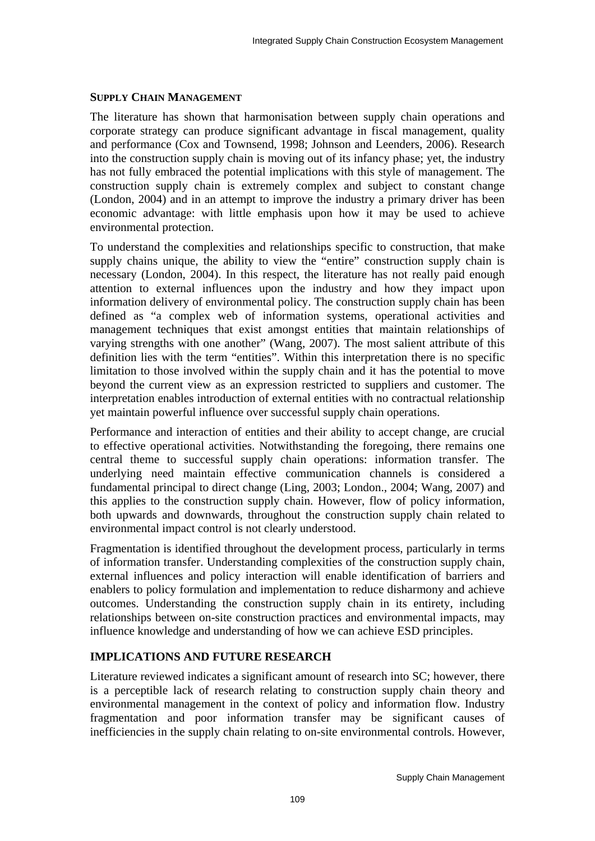#### **SUPPLY CHAIN MANAGEMENT**

The literature has shown that harmonisation between supply chain operations and corporate strategy can produce significant advantage in fiscal management, quality and performance (Cox and Townsend, 1998; Johnson and Leenders, 2006). Research into the construction supply chain is moving out of its infancy phase; yet, the industry has not fully embraced the potential implications with this style of management. The construction supply chain is extremely complex and subject to constant change (London, 2004) and in an attempt to improve the industry a primary driver has been economic advantage: with little emphasis upon how it may be used to achieve environmental protection.

To understand the complexities and relationships specific to construction, that make supply chains unique, the ability to view the "entire" construction supply chain is necessary (London, 2004). In this respect, the literature has not really paid enough attention to external influences upon the industry and how they impact upon information delivery of environmental policy. The construction supply chain has been defined as "a complex web of information systems, operational activities and management techniques that exist amongst entities that maintain relationships of varying strengths with one another" (Wang, 2007). The most salient attribute of this definition lies with the term "entities". Within this interpretation there is no specific limitation to those involved within the supply chain and it has the potential to move beyond the current view as an expression restricted to suppliers and customer. The interpretation enables introduction of external entities with no contractual relationship yet maintain powerful influence over successful supply chain operations.

Performance and interaction of entities and their ability to accept change, are crucial to effective operational activities. Notwithstanding the foregoing, there remains one central theme to successful supply chain operations: information transfer. The underlying need maintain effective communication channels is considered a fundamental principal to direct change (Ling, 2003; London., 2004; Wang, 2007) and this applies to the construction supply chain. However, flow of policy information, both upwards and downwards, throughout the construction supply chain related to environmental impact control is not clearly understood.

Fragmentation is identified throughout the development process, particularly in terms of information transfer. Understanding complexities of the construction supply chain, external influences and policy interaction will enable identification of barriers and enablers to policy formulation and implementation to reduce disharmony and achieve outcomes. Understanding the construction supply chain in its entirety, including relationships between on-site construction practices and environmental impacts, may influence knowledge and understanding of how we can achieve ESD principles.

# **IMPLICATIONS AND FUTURE RESEARCH**

Literature reviewed indicates a significant amount of research into SC; however, there is a perceptible lack of research relating to construction supply chain theory and environmental management in the context of policy and information flow. Industry fragmentation and poor information transfer may be significant causes of inefficiencies in the supply chain relating to on-site environmental controls. However,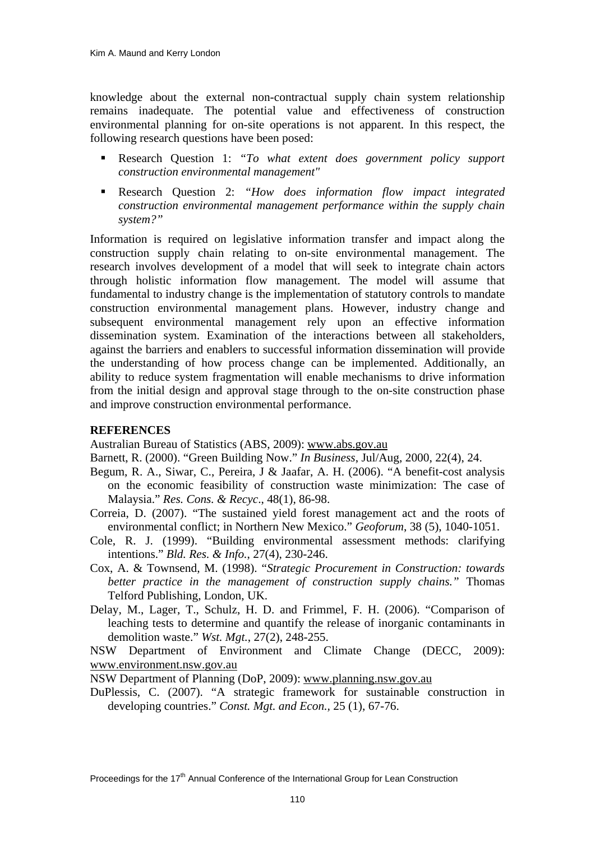knowledge about the external non-contractual supply chain system relationship remains inadequate. The potential value and effectiveness of construction environmental planning for on-site operations is not apparent. In this respect, the following research questions have been posed:

- Research Question 1: *"To what extent does government policy support construction environmental management"*
- Research Question 2: *"How does information flow impact integrated construction environmental management performance within the supply chain system?"*

Information is required on legislative information transfer and impact along the construction supply chain relating to on-site environmental management. The research involves development of a model that will seek to integrate chain actors through holistic information flow management. The model will assume that fundamental to industry change is the implementation of statutory controls to mandate construction environmental management plans. However, industry change and subsequent environmental management rely upon an effective information dissemination system. Examination of the interactions between all stakeholders, against the barriers and enablers to successful information dissemination will provide the understanding of how process change can be implemented. Additionally, an ability to reduce system fragmentation will enable mechanisms to drive information from the initial design and approval stage through to the on-site construction phase and improve construction environmental performance.

## **REFERENCES**

Australian Bureau of Statistics (ABS, 2009): [www.abs.gov.au](http://www.abs.gov.au/)

- Barnett, R. (2000). "Green Building Now." *In Business*, Jul/Aug, 2000, 22(4), 24.
- Begum, R. A., Siwar, C., Pereira, J & Jaafar, A. H. (2006). "A benefit-cost analysis on the economic feasibility of construction waste minimization: The case of Malaysia." *Res. Cons. & Recyc*., 48(1), 86-98.
- Correia, D. (2007). "The sustained yield forest management act and the roots of environmental conflict; in Northern New Mexico." *Geoforum*, 38 (5), 1040-1051.
- Cole, R. J. (1999). "Building environmental assessment methods: clarifying intentions." *Bld. Res. & Info.*, 27(4), 230-246.
- Cox, A. & Townsend, M. (1998). "*Strategic Procurement in Construction: towards better practice in the management of construction supply chains."* Thomas Telford Publishing, London, UK.
- Delay, M., Lager, T., Schulz, H. D. and Frimmel, F. H. (2006). "Comparison of leaching tests to determine and quantify the release of inorganic contaminants in demolition waste." *Wst. Mgt.*, 27(2), 248-255.

NSW Department of Environment and Climate Change (DECC, 2009): [www.environment.nsw.gov.au](http://www.environment.nsw.gov.au/)

NSW Department of Planning (DoP, 2009): [www.planning.nsw.gov.au](http://www.planning.nsw.gov.au/)

DuPlessis, C. (2007). "A strategic framework for sustainable construction in developing countries." *Const. Mgt. and Econ.,* 25 (1), 67-76.

Proceedings for the 17<sup>th</sup> Annual Conference of the International Group for Lean Construction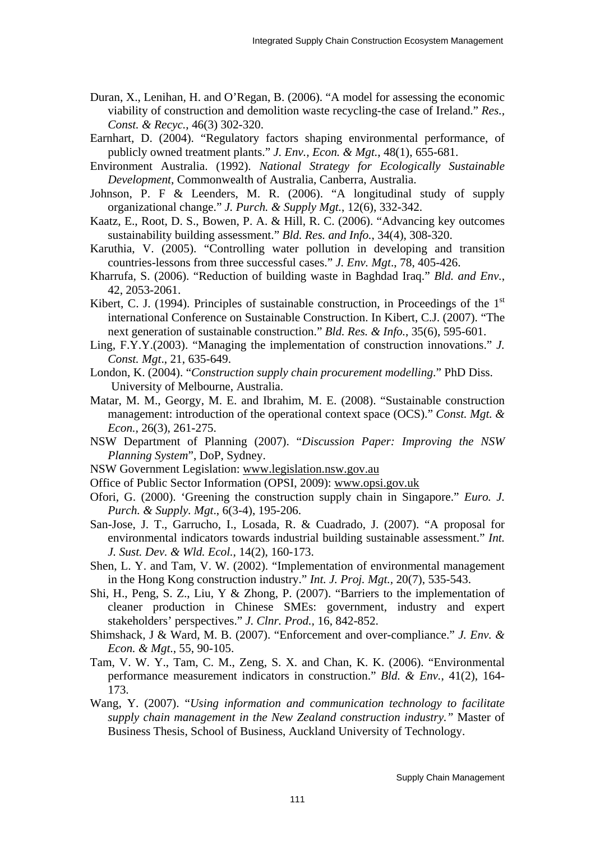- Duran, X., Lenihan, H. and O'Regan, B. (2006). "A model for assessing the economic viability of construction and demolition waste recycling-the case of Ireland." *Res., Const. & Recyc.*, 46(3) 302-320.
- Earnhart, D. (2004). "Regulatory factors shaping environmental performance, of publicly owned treatment plants." *J. Env., Econ. & Mgt.*, 48(1), 655-681.
- Environment Australia. (1992). *National Strategy for Ecologically Sustainable Development*, Commonwealth of Australia, Canberra, Australia.
- Johnson, P. F & Leenders, M. R. (2006). "A longitudinal study of supply organizational change." *J. Purch. & Supply Mgt.*, 12(6), 332-342.
- Kaatz, E., Root, D. S., Bowen, P. A. & Hill, R. C. (2006). "Advancing key outcomes sustainability building assessment." *Bld. Res. and Info.*, 34(4), 308-320.
- Karuthia, V. (2005). "Controlling water pollution in developing and transition countries-lessons from three successful cases." *J. Env. Mgt*., 78, 405-426.
- Kharrufa, S. (2006). "Reduction of building waste in Baghdad Iraq." *Bld. and Env.*, 42, 2053-2061.
- Kibert, C. J. (1994). Principles of sustainable construction, in Proceedings of the  $1<sup>st</sup>$ international Conference on Sustainable Construction. In Kibert, C.J. (2007). "The next generation of sustainable construction." *Bld. Res. & Info.*, 35(6), 595-601.
- Ling, F.Y.Y.(2003). "Managing the implementation of construction innovations." *J. Const. Mgt*., 21, 635-649.
- London, K. (2004). "*Construction supply chain procurement modelling*." PhD Diss. University of Melbourne, Australia.
- Matar, M. M., Georgy, M. E. and Ibrahim, M. E. (2008). "Sustainable construction management: introduction of the operational context space (OCS)." *Const. Mgt. & Econ.,* 26(3), 261-275.
- NSW Department of Planning (2007). "*Discussion Paper: Improving the NSW Planning System*", DoP, Sydney.
- NSW Government Legislation: [www.legislation.nsw.gov.au](http://www.legislation.nsw.gov.au/)
- Office of Public Sector Information (OPSI, 2009): [www.opsi.gov.uk](http://www.opsi.gov.uk/)
- Ofori, G. (2000). 'Greening the construction supply chain in Singapore." *Euro. J. Purch. & Supply. Mgt*., 6(3-4), 195-206.
- San-Jose, J. T., Garrucho, I., Losada, R. & Cuadrado, J. (2007). "A proposal for environmental indicators towards industrial building sustainable assessment." *Int. J. Sust. Dev. & Wld. Ecol.*, 14(2), 160-173.
- Shen, L. Y. and Tam, V. W. (2002). "Implementation of environmental management in the Hong Kong construction industry." *Int. J. Proj. Mgt.,* 20(7), 535-543.
- Shi, H., Peng, S. Z., Liu, Y & Zhong, P. (2007). "Barriers to the implementation of cleaner production in Chinese SMEs: government, industry and expert stakeholders' perspectives." *J. Clnr. Prod.,* 16, 842-852.
- Shimshack, J & Ward, M. B. (2007). "Enforcement and over-compliance." *J. Env. & Econ. & Mgt*., 55, 90-105.
- Tam, V. W. Y., Tam, C. M., Zeng, S. X. and Chan, K. K. (2006). "Environmental performance measurement indicators in construction." *Bld. & Env.*, 41(2), 164- 173.
- Wang, Y. (2007). "*Using information and communication technology to facilitate supply chain management in the New Zealand construction industry."* Master of Business Thesis, School of Business, Auckland University of Technology.